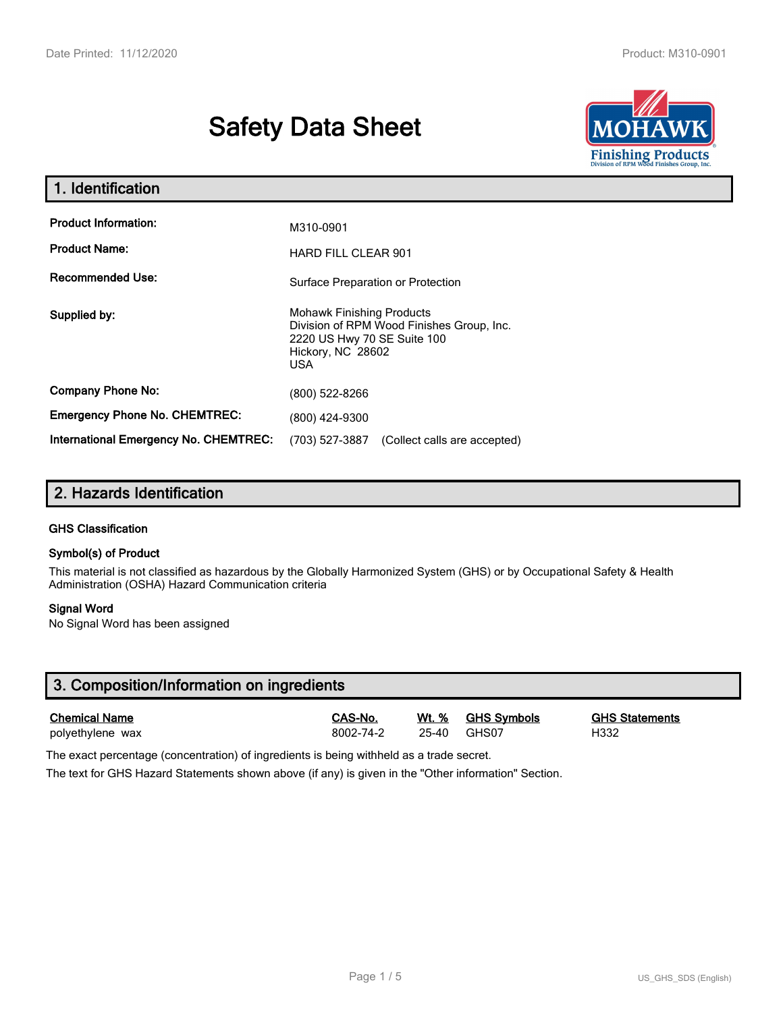# **Safety Data Sheet**



| 1. Identification                                   |                                                                                                                                          |  |  |  |
|-----------------------------------------------------|------------------------------------------------------------------------------------------------------------------------------------------|--|--|--|
| <b>Product Information:</b><br><b>Product Name:</b> | M310-0901<br><b>HARD FILL CLEAR 901</b>                                                                                                  |  |  |  |
| <b>Recommended Use:</b>                             | Surface Preparation or Protection                                                                                                        |  |  |  |
| Supplied by:                                        | <b>Mohawk Finishing Products</b><br>Division of RPM Wood Finishes Group, Inc.<br>2220 US Hwy 70 SE Suite 100<br>Hickory, NC 28602<br>USA |  |  |  |
| <b>Company Phone No:</b>                            | (800) 522-8266                                                                                                                           |  |  |  |
| <b>Emergency Phone No. CHEMTREC:</b>                | (800) 424-9300                                                                                                                           |  |  |  |
| International Emergency No. CHEMTREC:               | (703) 527-3887<br>(Collect calls are accepted)                                                                                           |  |  |  |

# **2. Hazards Identification**

#### **GHS Classification**

#### **Symbol(s) of Product**

This material is not classified as hazardous by the Globally Harmonized System (GHS) or by Occupational Safety & Health Administration (OSHA) Hazard Communication criteria

#### **Signal Word**

No Signal Word has been assigned

| 3. Composition/Information on ingredients |           |       |                    |                       |  |  |
|-------------------------------------------|-----------|-------|--------------------|-----------------------|--|--|
| <b>Chemical Name</b>                      | CAS-No.   | Wt. % | <b>GHS Svmbols</b> | <b>GHS Statements</b> |  |  |
| polyethylene wax                          | 8002-74-2 | 25-40 | GHS07              | H332                  |  |  |

The exact percentage (concentration) of ingredients is being withheld as a trade secret.

The text for GHS Hazard Statements shown above (if any) is given in the "Other information" Section.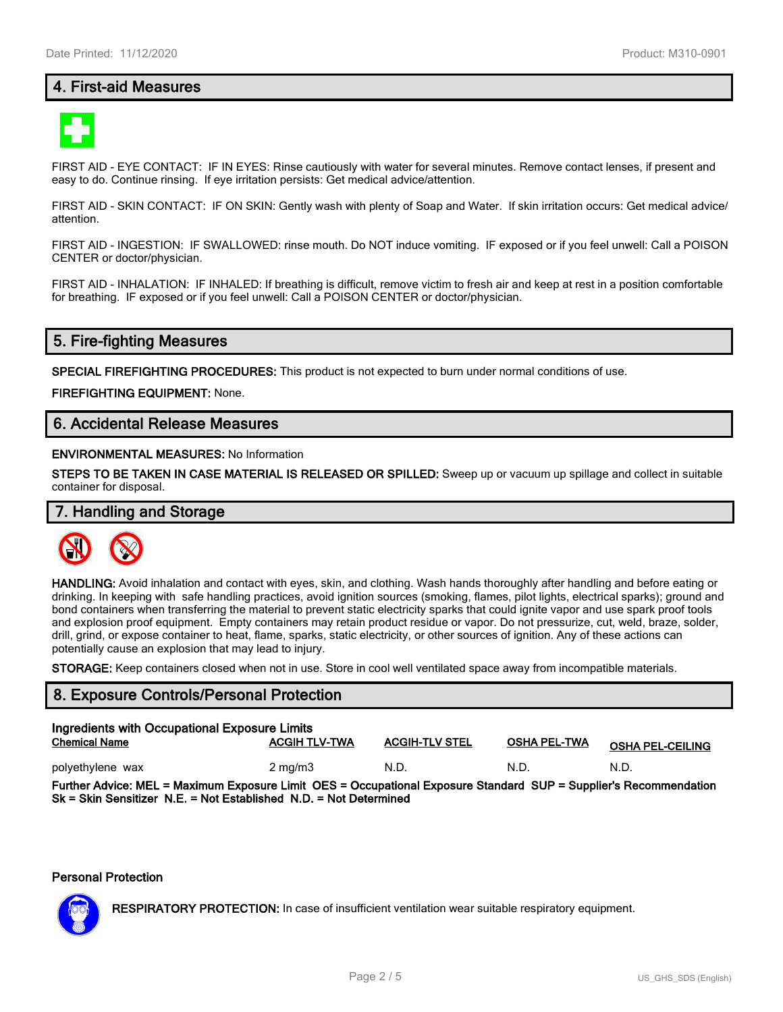# **4. First-aid Measures**



FIRST AID - EYE CONTACT: IF IN EYES: Rinse cautiously with water for several minutes. Remove contact lenses, if present and easy to do. Continue rinsing. If eye irritation persists: Get medical advice/attention.

FIRST AID - SKIN CONTACT: IF ON SKIN: Gently wash with plenty of Soap and Water. If skin irritation occurs: Get medical advice/ attention.

FIRST AID - INGESTION: IF SWALLOWED: rinse mouth. Do NOT induce vomiting. IF exposed or if you feel unwell: Call a POISON CENTER or doctor/physician.

FIRST AID - INHALATION: IF INHALED: If breathing is difficult, remove victim to fresh air and keep at rest in a position comfortable for breathing. IF exposed or if you feel unwell: Call a POISON CENTER or doctor/physician.

# **5. Fire-fighting Measures**

**SPECIAL FIREFIGHTING PROCEDURES:** This product is not expected to burn under normal conditions of use.

**FIREFIGHTING EQUIPMENT:** None.

# **6. Accidental Release Measures**

#### **ENVIRONMENTAL MEASURES:** No Information

**STEPS TO BE TAKEN IN CASE MATERIAL IS RELEASED OR SPILLED:** Sweep up or vacuum up spillage and collect in suitable container for disposal.

# **7. Handling and Storage**



**HANDLING:** Avoid inhalation and contact with eyes, skin, and clothing. Wash hands thoroughly after handling and before eating or drinking. In keeping with safe handling practices, avoid ignition sources (smoking, flames, pilot lights, electrical sparks); ground and bond containers when transferring the material to prevent static electricity sparks that could ignite vapor and use spark proof tools and explosion proof equipment. Empty containers may retain product residue or vapor. Do not pressurize, cut, weld, braze, solder, drill, grind, or expose container to heat, flame, sparks, static electricity, or other sources of ignition. Any of these actions can potentially cause an explosion that may lead to injury.

**STORAGE:** Keep containers closed when not in use. Store in cool well ventilated space away from incompatible materials.

### **8. Exposure Controls/Personal Protection**

| Ingredients with Occupational Exposure Limits<br><b>ACGIH-TLV STEL</b><br><b>ACGIH TLV-TWA</b><br><b>OSHA PEL-TWA</b><br><b>Chemical Name</b><br><b>OSHA PEL-CEILING</b> |                    |      |      |      |  |  |
|--------------------------------------------------------------------------------------------------------------------------------------------------------------------------|--------------------|------|------|------|--|--|
| polyethylene wax                                                                                                                                                         | $2 \text{ ma/m}$ 3 | N.D. | N.D. | N.D. |  |  |
| Further Advice: MEL = Maximum Exposure Limit OES = Occupational Exposure Standard SUP = Supplier's Recommendation                                                        |                    |      |      |      |  |  |

**Sk = Skin Sensitizer N.E. = Not Established N.D. = Not Determined**

#### **Personal Protection**



**RESPIRATORY PROTECTION:** In case of insufficient ventilation wear suitable respiratory equipment.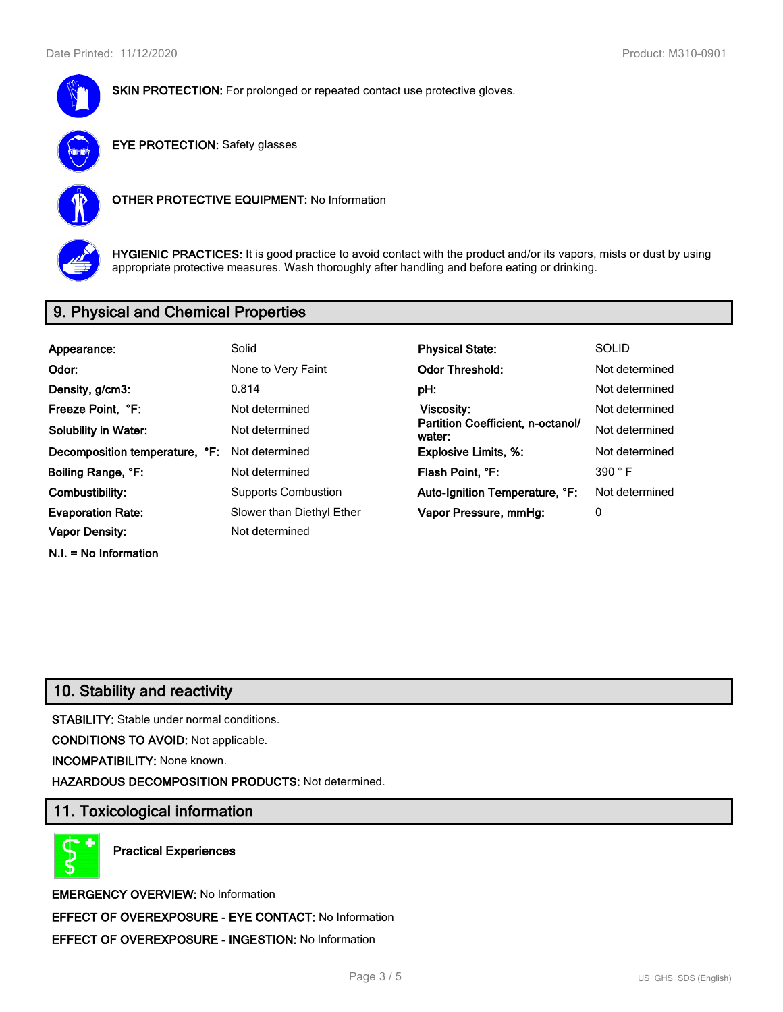



**EYE PROTECTION:** Safety glasses



**OTHER PROTECTIVE EQUIPMENT:** No Information



**HYGIENIC PRACTICES:** It is good practice to avoid contact with the product and/or its vapors, mists or dust by using appropriate protective measures. Wash thoroughly after handling and before eating or drinking.

# **9. Physical and Chemical Properties**

| Appearance:                    | Solid                      | <b>Physical State:</b>                      | <b>SOLID</b>   |
|--------------------------------|----------------------------|---------------------------------------------|----------------|
| Odor:                          | None to Very Faint         | <b>Odor Threshold:</b>                      | Not determined |
| Density, g/cm3:                | 0.814                      | pH:                                         | Not determined |
| Freeze Point, °F:              | Not determined             | <b>Viscosity:</b>                           | Not determined |
| <b>Solubility in Water:</b>    | Not determined             | Partition Coefficient, n-octanol/<br>water: | Not determined |
| Decomposition temperature, °F: | Not determined             | <b>Explosive Limits, %:</b>                 | Not determined |
| Boiling Range, °F:             | Not determined             | Flash Point, °F:                            | 390 °F         |
| Combustibility:                | <b>Supports Combustion</b> | Auto-Ignition Temperature, °F:              | Not determined |
| <b>Evaporation Rate:</b>       | Slower than Diethyl Ether  | Vapor Pressure, mmHg:                       | 0              |
| <b>Vapor Density:</b>          | Not determined             |                                             |                |
| $N.I. = No Information$        |                            |                                             |                |

# **10. Stability and reactivity**

**STABILITY:** Stable under normal conditions.

**CONDITIONS TO AVOID:** Not applicable.

**INCOMPATIBILITY:** None known.

**HAZARDOUS DECOMPOSITION PRODUCTS:** Not determined.

# **11. Toxicological information**

**Practical Experiences**

**EMERGENCY OVERVIEW:** No Information **EFFECT OF OVEREXPOSURE - EYE CONTACT:** No Information **EFFECT OF OVEREXPOSURE - INGESTION:** No Information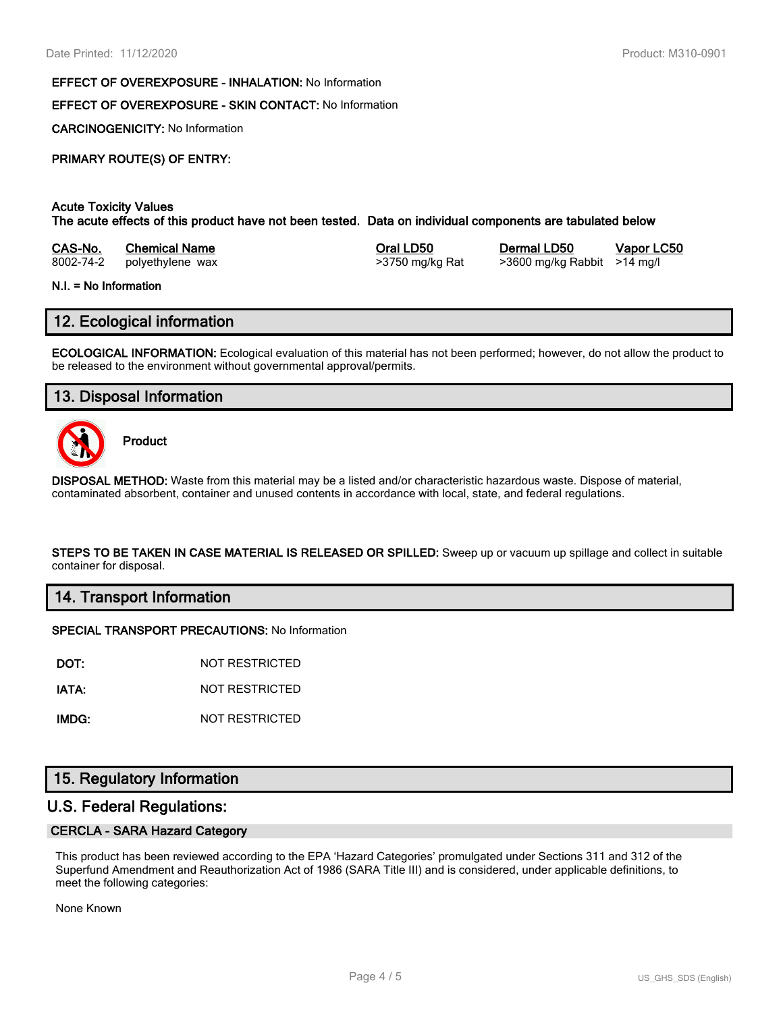#### **EFFECT OF OVEREXPOSURE - INHALATION:** No Information

# **EFFECT OF OVEREXPOSURE - SKIN CONTACT:** No Information

**CARCINOGENICITY:** No Information

# **PRIMARY ROUTE(S) OF ENTRY:**

## **Acute Toxicity Values**

**The acute effects of this product have not been tested. Data on individual components are tabulated below**

| CAS-No.   | <b>Chemical Name</b> |
|-----------|----------------------|
| 8002-74-2 | polvethylene wax     |

8002-74-2 polyethylene wax >3750 mg/kg Rat >3600 mg/kg Rabbit >14 mg/l

**Casa-No. 25 Co. 25 Co. 25 Co. 25 Co. 25 Co. 25 Co. 25 Co. 25 Co. 25 Co. 25 Co. 25 Co. 25 Co. 25 Co. 25 Co. 25 Co. 25 Co. 25 Co. 25 Co. 25 Co. 25 Co. 25 Co. 25 Co. 25 Co. 25 Co. 25 Co. 25 Co. 25 Co. 25 Co. 25 Co. 25 Co. 25** 

#### **N.I. = No Information**

# **12. Ecological information**

**ECOLOGICAL INFORMATION:** Ecological evaluation of this material has not been performed; however, do not allow the product to be released to the environment without governmental approval/permits.

# **13. Disposal Information**



**Product**

**DISPOSAL METHOD:** Waste from this material may be a listed and/or characteristic hazardous waste. Dispose of material, contaminated absorbent, container and unused contents in accordance with local, state, and federal regulations.

**STEPS TO BE TAKEN IN CASE MATERIAL IS RELEASED OR SPILLED:** Sweep up or vacuum up spillage and collect in suitable container for disposal.

### **14. Transport Information**

#### **SPECIAL TRANSPORT PRECAUTIONS:** No Information

**DOT:** NOT RESTRICTED

**IATA:** NOT RESTRICTED

**IMDG:** NOT RESTRICTED

# **15. Regulatory Information**

# **U.S. Federal Regulations:**

#### **CERCLA - SARA Hazard Category**

This product has been reviewed according to the EPA 'Hazard Categories' promulgated under Sections 311 and 312 of the Superfund Amendment and Reauthorization Act of 1986 (SARA Title III) and is considered, under applicable definitions, to meet the following categories:

None Known